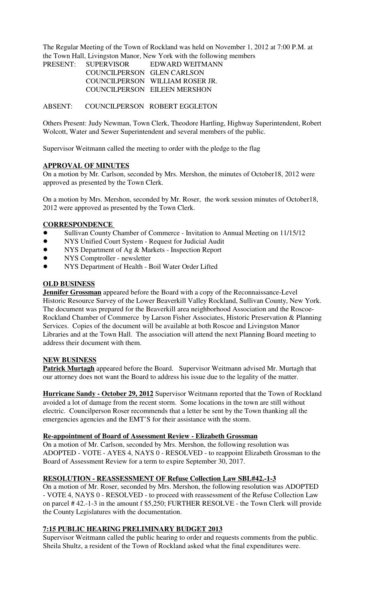The Regular Meeting of the Town of Rockland was held on November 1, 2012 at 7:00 P.M. at the Town Hall, Livingston Manor, New York with the following members

| PRESENT: SUPERVISOR        | EDWARD WEITMANN                 |
|----------------------------|---------------------------------|
| COUNCILPERSON GLEN CARLSON |                                 |
|                            | COUNCILPERSON WILLIAM ROSER JR. |
|                            | COUNCILPERSON EILEEN MERSHON    |

ABSENT: COUNCILPERSON ROBERT EGGLETON

Others Present: Judy Newman, Town Clerk, Theodore Hartling, Highway Superintendent, Robert Wolcott, Water and Sewer Superintendent and several members of the public.

Supervisor Weitmann called the meeting to order with the pledge to the flag

# **APPROVAL OF MINUTES**

On a motion by Mr. Carlson, seconded by Mrs. Mershon, the minutes of October18, 2012 were approved as presented by the Town Clerk.

On a motion by Mrs. Mershon, seconded by Mr. Roser, the work session minutes of October18, 2012 were approved as presented by the Town Clerk.

# **CORRESPONDENCE**

- ! Sullivan County Chamber of Commerce Invitation to Annual Meeting on 11/15/12
- ! NYS Unified Court System Request for Judicial Audit
- NYS Department of Ag & Markets Inspection Report
- NYS Comptroller newsletter
- ! NYS Department of Health Boil Water Order Lifted

# **OLD BUSINESS**

**Jennifer Grossman** appeared before the Board with a copy of the Reconnaissance-Level Historic Resource Survey of the Lower Beaverkill Valley Rockland, Sullivan County, New York. The document was prepared for the Beaverkill area neighborhood Association and the Roscoe-Rockland Chamber of Commerce by Larson Fisher Associates, Historic Preservation & Planning Services. Copies of the document will be available at both Roscoe and Livingston Manor Libraries and at the Town Hall. The association will attend the next Planning Board meeting to address their document with them.

# **NEW BUSINESS**

**Patrick Murtagh** appeared before the Board. Supervisor Weitmann advised Mr. Murtagh that our attorney does not want the Board to address his issue due to the legality of the matter.

**Hurricane Sandy - October 29, 2012** Supervisor Weitmann reported that the Town of Rockland avoided a lot of damage from the recent storm. Some locations in the town are still without electric. Councilperson Roser recommends that a letter be sent by the Town thanking all the emergencies agencies and the EMT'S for their assistance with the storm.

# **Re-appointment of Board of Assessment Review - Elizabeth Grossman**

On a motion of Mr. Carlson, seconded by Mrs. Mershon, the following resolution was ADOPTED - VOTE - AYES 4, NAYS 0 - RESOLVED - to reappoint Elizabeth Grossman to the Board of Assessment Review for a term to expire September 30, 2017.

# **RESOLUTION - REASSESSMENT OF Refuse Collection Law SBL#42.-1-3**

On a motion of Mr. Roser, seconded by Mrs. Mershon, the following resolution was ADOPTED - VOTE 4, NAYS 0 - RESOLVED - to proceed with reassessment of the Refuse Collection Law on parcel # 42.-1-3 in the amount f \$5,250; FURTHER RESOLVE - the Town Clerk will provide the County Legislatures with the documentation.

# **7:15 PUBLIC HEARING PRELIMINARY BUDGET 2013**

Supervisor Weitmann called the public hearing to order and requests comments from the public. Sheila Shultz, a resident of the Town of Rockland asked what the final expenditures were.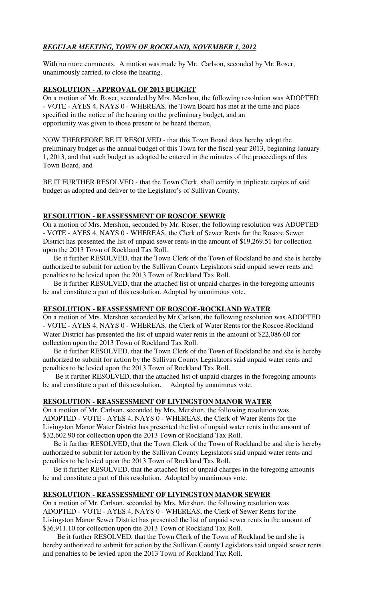# *REGULAR MEETING, TOWN OF ROCKLAND, NOVEMBER 1, 2012*

With no more comments. A motion was made by Mr. Carlson, seconded by Mr. Roser, unanimously carried, to close the hearing.

# **RESOLUTION - APPROVAL OF 2013 BUDGET**

On a motion of Mr. Roser, seconded by Mrs. Mershon, the following resolution was ADOPTED - VOTE - AYES 4, NAYS 0 - WHEREAS, the Town Board has met at the time and place specified in the notice of the hearing on the preliminary budget, and an opportunity was given to those present to be heard thereon,

NOW THEREFORE BE IT RESOLVED - that this Town Board does hereby adopt the preliminary budget as the annual budget of this Town for the fiscal year 2013, beginning January 1, 2013, and that such budget as adopted be entered in the minutes of the proceedings of this Town Board, and

BE IT FURTHER RESOLVED - that the Town Clerk, shall certify in triplicate copies of said budget as adopted and deliver to the Legislator's of Sullivan County.

# **RESOLUTION - REASSESSMENT OF ROSCOE SEWER**

On a motion of Mrs. Mershon, seconded by Mr. Roser, the following resolution was ADOPTED - VOTE - AYES 4, NAYS 0 - WHEREAS, the Clerk of Sewer Rents for the Roscoe Sewer District has presented the list of unpaid sewer rents in the amount of \$19,269.51 for collection upon the 2013 Town of Rockland Tax Roll.

 Be it further RESOLVED, that the Town Clerk of the Town of Rockland be and she is hereby authorized to submit for action by the Sullivan County Legislators said unpaid sewer rents and penalties to be levied upon the 2013 Town of Rockland Tax Roll.

 Be it further RESOLVED, that the attached list of unpaid charges in the foregoing amounts be and constitute a part of this resolution. Adopted by unanimous vote.

# **RESOLUTION - REASSESSMENT OF ROSCOE-ROCKLAND WATER**

On a motion of Mrs. Mershon seconded by Mr.Carlson, the following resolution was ADOPTED - VOTE - AYES 4, NAYS 0 - WHEREAS, the Clerk of Water Rents for the Roscoe-Rockland Water District has presented the list of unpaid water rents in the amount of \$22,086.60 for collection upon the 2013 Town of Rockland Tax Roll.

 Be it further RESOLVED, that the Town Clerk of the Town of Rockland be and she is hereby authorized to submit for action by the Sullivan County Legislators said unpaid water rents and penalties to be levied upon the 2013 Town of Rockland Tax Roll.

 Be it further RESOLVED, that the attached list of unpaid charges in the foregoing amounts be and constitute a part of this resolution. Adopted by unanimous vote.

# **RESOLUTION - REASSESSMENT OF LIVINGSTON MANOR WATER**

On a motion of Mr. Carlson, seconded by Mrs. Mershon, the following resolution was ADOPTED - VOTE - AYES 4, NAYS 0 - WHEREAS, the Clerk of Water Rents for the Livingston Manor Water District has presented the list of unpaid water rents in the amount of \$32,602.90 for collection upon the 2013 Town of Rockland Tax Roll.

 Be it further RESOLVED, that the Town Clerk of the Town of Rockland be and she is hereby authorized to submit for action by the Sullivan County Legislators said unpaid water rents and penalties to be levied upon the 2013 Town of Rockland Tax Roll.

 Be it further RESOLVED, that the attached list of unpaid charges in the foregoing amounts be and constitute a part of this resolution. Adopted by unanimous vote.

# **RESOLUTION - REASSESSMENT OF LIVINGSTON MANOR SEWER**

On a motion of Mr. Carlson, seconded by Mrs. Mershon, the following resolution was ADOPTED - VOTE - AYES 4, NAYS 0 - WHEREAS, the Clerk of Sewer Rents for the Livingston Manor Sewer District has presented the list of unpaid sewer rents in the amount of \$36,911.10 for collection upon the 2013 Town of Rockland Tax Roll.

 Be it further RESOLVED, that the Town Clerk of the Town of Rockland be and she is hereby authorized to submit for action by the Sullivan County Legislators said unpaid sewer rents and penalties to be levied upon the 2013 Town of Rockland Tax Roll.